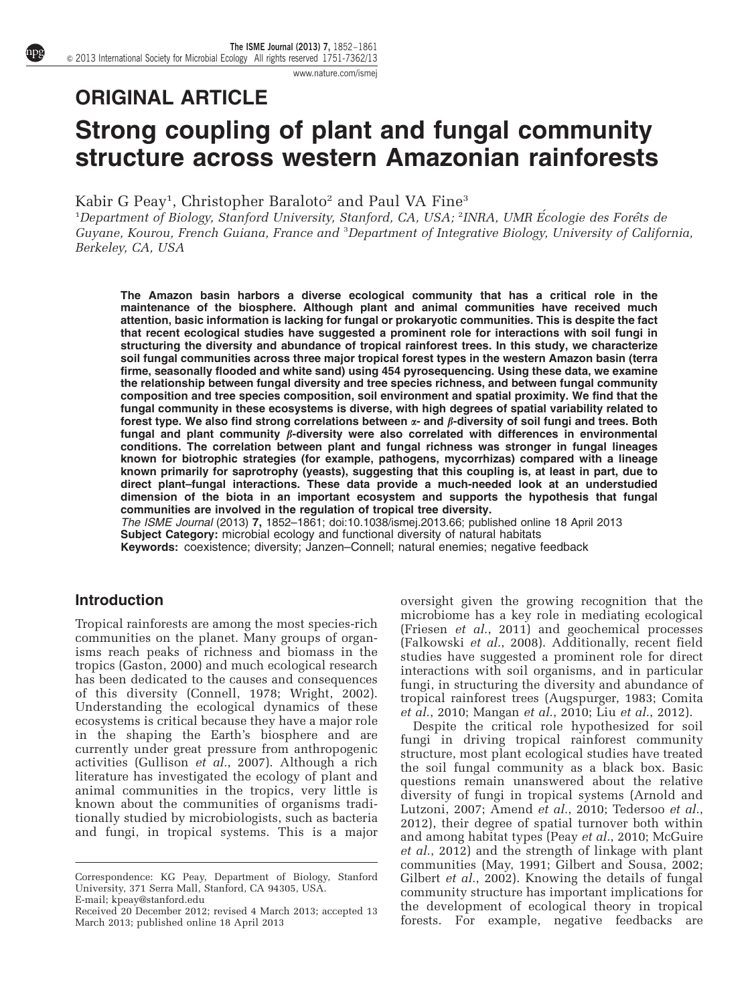[www.nature.com/ismej](http://www.nature.com/ismej)

# ORIGINAL ARTICLE Strong coupling of plant and fungal community structure across western Amazonian rainforests

Kabir G Peay<sup>1</sup>, Christopher Baraloto<sup>2</sup> and Paul VA Fine<sup>3</sup>

<sup>1</sup>Department of Biology, Stanford University, Stanford, CA, USA; <sup>2</sup>INRA, UMR Écologie des Forêts de Guyane, Kourou, French Guiana, France and <sup>3</sup>Department of Integrative Biology, University of California, Berkeley, CA, USA

The Amazon basin harbors a diverse ecological community that has a critical role in the maintenance of the biosphere. Although plant and animal communities have received much attention, basic information is lacking for fungal or prokaryotic communities. This is despite the fact that recent ecological studies have suggested a prominent role for interactions with soil fungi in structuring the diversity and abundance of tropical rainforest trees. In this study, we characterize soil fungal communities across three major tropical forest types in the western Amazon basin (terra firme, seasonally flooded and white sand) using 454 pyrosequencing. Using these data, we examine the relationship between fungal diversity and tree species richness, and between fungal community composition and tree species composition, soil environment and spatial proximity. We find that the fungal community in these ecosystems is diverse, with high degrees of spatial variability related to forest type. We also find strong correlations between  $\alpha$ - and  $\beta$ -diversity of soil fungi and trees. Both fungal and plant community  $\beta$ -diversity were also correlated with differences in environmental conditions. The correlation between plant and fungal richness was stronger in fungal lineages known for biotrophic strategies (for example, pathogens, mycorrhizas) compared with a lineage known primarily for saprotrophy (yeasts), suggesting that this coupling is, at least in part, due to direct plant–fungal interactions. These data provide a much-needed look at an understudied dimension of the biota in an important ecosystem and supports the hypothesis that fungal communities are involved in the regulation of tropical tree diversity.

The ISME Journal (2013) 7, 1852–1861; doi:[10.1038/ismej.2013.66;](http://dx.doi.org/10.1038/ismej.2013.66) published online 18 April 2013 Subject Category: microbial ecology and functional diversity of natural habitats Keywords: coexistence; diversity; Janzen–Connell; natural enemies; negative feedback

## **Introduction**

Tropical rainforests are among the most species-rich communities on the planet. Many groups of organisms reach peaks of richness and biomass in the tropics [\(Gaston, 2000](#page-8-0)) and much ecological research has been dedicated to the causes and consequences of this diversity ([Connell, 1978](#page-8-0); [Wright, 2002](#page-9-0)). Understanding the ecological dynamics of these ecosystems is critical because they have a major role in the shaping the Earth's biosphere and are currently under great pressure from anthropogenic activities ([Gullison](#page-8-0)  $et^-al$ ., 2007). Although a rich literature has investigated the ecology of plant and animal communities in the tropics, very little is known about the communities of organisms traditionally studied by microbiologists, such as bacteria and fungi, in tropical systems. This is a major

Correspondence: KG Peay, Department of Biology, Stanford University, 371 Serra Mall, Stanford, CA 94305, USA. E-mail; [kpeay@stanford.edu](mailto:kpeay@stanford.edu)

oversight given the growing recognition that the microbiome has a key role in mediating ecological ([Friesen](#page-8-0) et al., 2011) and geochemical processes ([Falkowski](#page-8-0) et al., 2008). Additionally, recent field studies have suggested a prominent role for direct interactions with soil organisms, and in particular fungi, in structuring the diversity and abundance of tropical rainforest trees ([Augspurger, 1983; Comita](#page-8-0) et al.[, 2010;](#page-8-0) [Mangan](#page-9-0) et al., 2010; Liu et al.[, 2012](#page-9-0)).

Despite the critical role hypothesized for soil fungi in driving tropical rainforest community structure, most plant ecological studies have treated the soil fungal community as a black box. Basic questions remain unanswered about the relative diversity of fungi in tropical systems [\(Arnold and](#page-8-0) [Lutzoni, 2007; Amend](#page-8-0) et al., 2010; [Tedersoo](#page-9-0) et al., [2012\)](#page-9-0), their degree of spatial turnover both within and among habitat types (Peay et al.[, 2010; McGuire](#page-9-0) et al.[, 2012\)](#page-9-0) and the strength of linkage with plant communities ([May, 1991](#page-9-0); [Gilbert and Sousa, 2002;](#page-8-0) [Gilbert](#page-8-0) *et al.*, 2002). Knowing the details of fungal community structure has important implications for the development of ecological theory in tropical forests. For example, negative feedbacks are

Received 20 December 2012; revised 4 March 2013; accepted 13 March 2013; published online 18 April 2013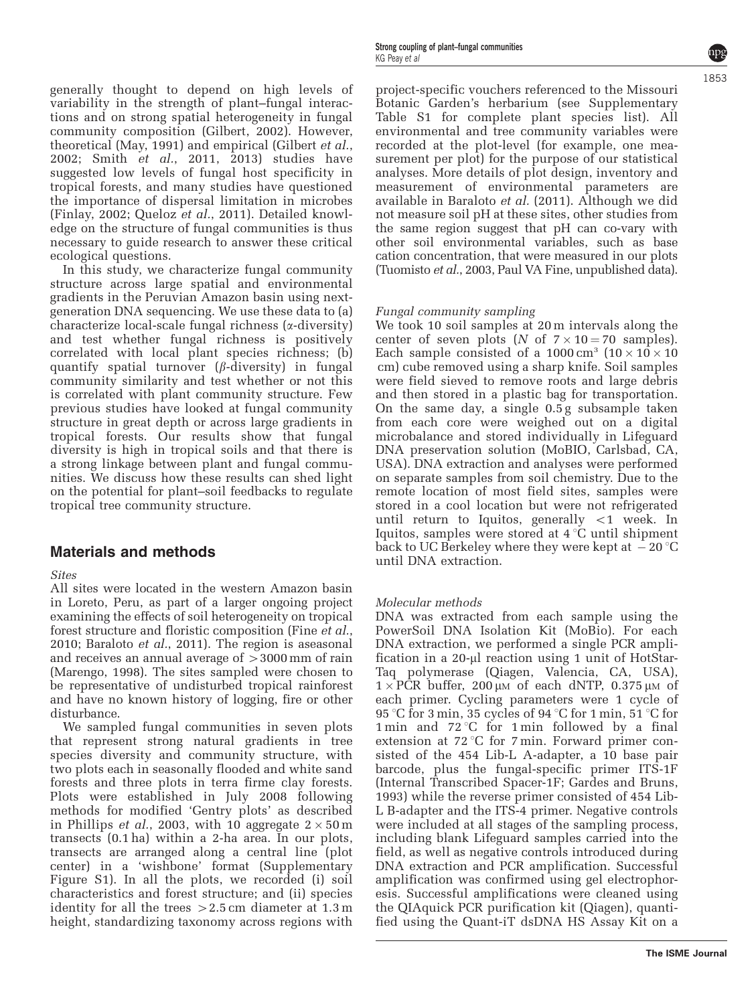generally thought to depend on high levels of variability in the strength of plant–fungal interactions and on strong spatial heterogeneity in fungal community composition ([Gilbert, 2002](#page-8-0)). However, theoretical ([May, 1991\)](#page-9-0) and empirical ([Gilbert](#page-8-0) et al., [2002;](#page-8-0) Smith et al.[, 2011, 2013\)](#page-9-0) studies have suggested low levels of fungal host specificity in tropical forests, and many studies have questioned the importance of dispersal limitation in microbes [\(Finlay, 2002](#page-8-0); [Queloz](#page-9-0) et al., 2011). Detailed knowledge on the structure of fungal communities is thus necessary to guide research to answer these critical ecological questions.

In this study, we characterize fungal community structure across large spatial and environmental gradients in the Peruvian Amazon basin using nextgeneration DNA sequencing. We use these data to (a) characterize local-scale fungal richness (a-diversity) and test whether fungal richness is positively correlated with local plant species richness; (b) quantify spatial turnover  $(\beta$ -diversity) in fungal community similarity and test whether or not this is correlated with plant community structure. Few previous studies have looked at fungal community structure in great depth or across large gradients in tropical forests. Our results show that fungal diversity is high in tropical soils and that there is a strong linkage between plant and fungal communities. We discuss how these results can shed light on the potential for plant–soil feedbacks to regulate tropical tree community structure.

## Materials and methods

#### Sites

All sites were located in the western Amazon basin in Loreto, Peru, as part of a larger ongoing project examining the effects of soil heterogeneity on tropical forest structure and floristic composition (Fine [et al.](#page-8-0), [2010](#page-8-0); [Baraloto](#page-8-0) et al., 2011). The region is aseasonal and receives an annual average of  $>3000$  mm of rain [\(Marengo, 1998\)](#page-9-0). The sites sampled were chosen to be representative of undisturbed tropical rainforest and have no known history of logging, fire or other disturbance.

We sampled fungal communities in seven plots that represent strong natural gradients in tree species diversity and community structure, with two plots each in seasonally flooded and white sand forests and three plots in terra firme clay forests. Plots were established in July 2008 following methods for modified 'Gentry plots' as described in [Phillips](#page-9-0) *et al.*, 2003, with 10 aggregate  $2 \times 50\,\mathrm{m}$ transects (0.1 ha) within a 2-ha area. In our plots, transects are arranged along a central line (plot center) in a 'wishbone' format (Supplementary Figure S1). In all the plots, we recorded (i) soil characteristics and forest structure; and (ii) species identity for all the trees  $>2.5$  cm diameter at  $1.3$  m height, standardizing taxonomy across regions with

project-specific vouchers referenced to the Missouri Botanic Garden's herbarium (see Supplementary Table S1 for complete plant species list). All environmental and tree community variables were recorded at the plot-level (for example, one measurement per plot) for the purpose of our statistical analyses. More details of plot design, inventory and measurement of environmental parameters are available in [Baraloto](#page-8-0) et al. (2011). Although we did not measure soil pH at these sites, other studies from the same region suggest that pH can co-vary with other soil environmental variables, such as base cation concentration, that were measured in our plots [\(Tuomisto](#page-9-0) et al., 2003, Paul VA Fine, unpublished data).

#### Fungal community sampling

We took 10 soil samples at 20 m intervals along the center of seven plots (N of  $7 \times 10 = 70$  samples). Each sample consisted of a  $1000 \text{ cm}^3$   $(10 \times 10 \times 10)$ cm) cube removed using a sharp knife. Soil samples were field sieved to remove roots and large debris and then stored in a plastic bag for transportation. On the same day, a single 0.5 g subsample taken from each core were weighed out on a digital microbalance and stored individually in Lifeguard DNA preservation solution (MoBIO, Carlsbad, CA, USA). DNA extraction and analyses were performed on separate samples from soil chemistry. Due to the remote location of most field sites, samples were stored in a cool location but were not refrigerated until return to Iquitos, generally  $\langle 1 \rangle$  week. In Iquitos, samples were stored at 4 °C until shipment back to UC Berkeley where they were kept at  $-20^{\circ}$ C until DNA extraction.

#### Molecular methods

DNA was extracted from each sample using the PowerSoil DNA Isolation Kit (MoBio). For each DNA extraction, we performed a single PCR amplification in a 20-µl reaction using 1 unit of HotStar-Taq polymerase (Qiagen, Valencia, CA, USA),  $1 \times PCR$  buffer, 200  $\mu$ M of each dNTP, 0.375  $\mu$ M of each primer. Cycling parameters were 1 cycle of 95 °C for 3 min, 35 cycles of 94 °C for 1 min, 51 °C for 1 min and  $72^{\circ}$ C for 1 min followed by a final extension at  $72^{\circ}$ C for 7 min. Forward primer consisted of the 454 Lib-L A-adapter, a 10 base pair barcode, plus the fungal-specific primer ITS-1F (Internal Transcribed Spacer-1F; [Gardes and Bruns,](#page-8-0) [1993\)](#page-8-0) while the reverse primer consisted of 454 Lib-L B-adapter and the ITS-4 primer. Negative controls were included at all stages of the sampling process, including blank Lifeguard samples carried into the field, as well as negative controls introduced during DNA extraction and PCR amplification. Successful amplification was confirmed using gel electrophoresis. Successful amplifications were cleaned using the QIAquick PCR purification kit (Qiagen), quantified using the Quant-iT dsDNA HS Assay Kit on a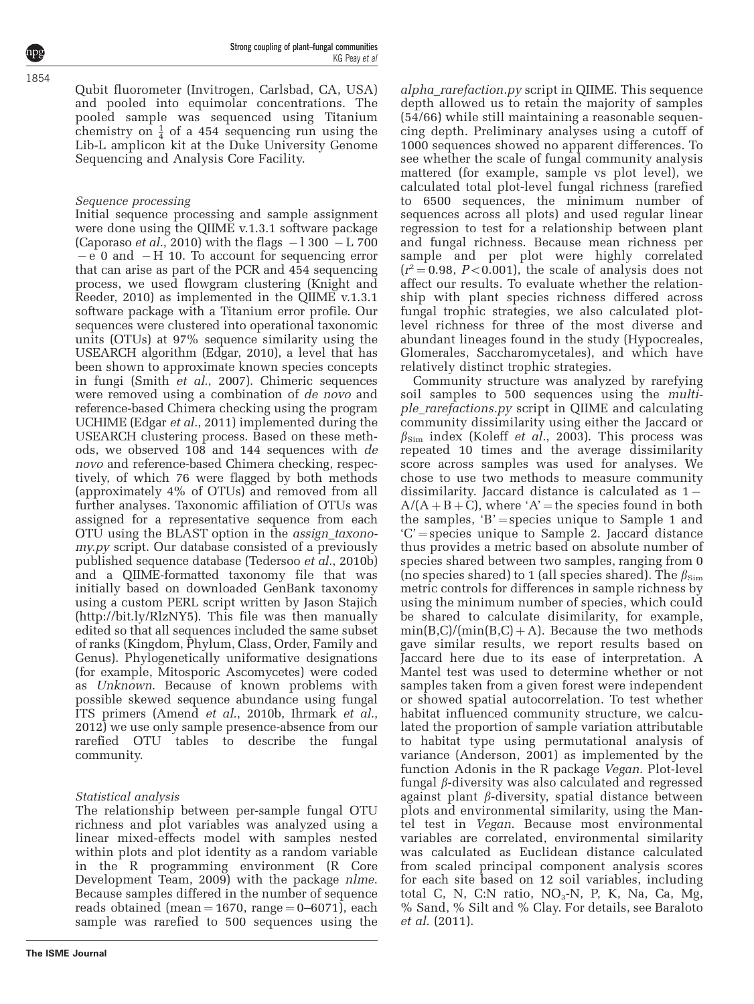Qubit fluorometer (Invitrogen, Carlsbad, CA, USA) and pooled into equimolar concentrations. The pooled sample was sequenced using Titanium chemistry on  $\frac{1}{4}$  of a 454 sequencing run using the Lib-L amplicon kit at the Duke University Genome Sequencing and Analysis Core Facility.

### Sequence processing

Initial sequence processing and sample assignment were done using the QIIME v.1.3.1 software package ([Caporaso](#page-8-0) *et al.*, 2010) with the flags  $-1300 - L700$  $-e$  0 and  $-H$  10. To account for sequencing error that can arise as part of the PCR and 454 sequencing process, we used flowgram clustering [\(Knight and](#page-9-0) [Reeder, 2010\)](#page-9-0) as implemented in the QIIME v.1.3.1 software package with a Titanium error profile. Our sequences were clustered into operational taxonomic units (OTUs) at 97% sequence similarity using the USEARCH algorithm ([Edgar, 2010](#page-8-0)), a level that has been shown to approximate known species concepts in fungi (Smith  $et$  al.[, 2007](#page-9-0)). Chimeric sequences were removed using a combination of de novo and reference-based Chimera checking using the program UCHIME (Edgar et al.[, 2011](#page-8-0)) implemented during the USEARCH clustering process. Based on these methods, we observed 108 and 144 sequences with de novo and reference-based Chimera checking, respectively, of which 76 were flagged by both methods (approximately 4% of OTUs) and removed from all further analyses. Taxonomic affiliation of OTUs was assigned for a representative sequence from each OTU using the BLAST option in the assign\_taxonomy.py script. Our database consisted of a previously published sequence database ([Tedersoo](#page-9-0) et al., 2010b) and a QIIME-formatted taxonomy file that was initially based on downloaded GenBank taxonomy using a custom PERL script written by Jason Stajich (<http://bit.ly/RlzNY5>). This file was then manually edited so that all sequences included the same subset of ranks (Kingdom, Phylum, Class, Order, Family and Genus). Phylogenetically uniformative designations (for example, Mitosporic Ascomycetes) were coded as Unknown. Because of known problems with possible skewed sequence abundance using fungal ITS primers (Amend et al.[, 2010b](#page-8-0), [Ihrmark](#page-9-0) et al., [2012](#page-9-0)) we use only sample presence-absence from our rarefied OTU tables to describe the fungal community.

## Statistical analysis

The relationship between per-sample fungal OTU richness and plot variables was analyzed using a linear mixed-effects model with samples nested within plots and plot identity as a random variable in the R programming environment [\(R Core](#page-9-0) [Development Team, 2009\)](#page-9-0) with the package nlme. Because samples differed in the number of sequence reads obtained (mean  $= 1670$ , range  $= 0$ –6071), each sample was rarefied to 500 sequences using the alpha\_rarefaction.py script in QIIME. This sequence depth allowed us to retain the majority of samples (54/66) while still maintaining a reasonable sequencing depth. Preliminary analyses using a cutoff of 1000 sequences showed no apparent differences. To see whether the scale of fungal community analysis mattered (for example, sample vs plot level), we calculated total plot-level fungal richness (rarefied to 6500 sequences, the minimum number of sequences across all plots) and used regular linear regression to test for a relationship between plant and fungal richness. Because mean richness per sample and per plot were highly correlated  $(r^2 = 0.98, P < 0.001)$ , the scale of analysis does not affect our results. To evaluate whether the relationship with plant species richness differed across fungal trophic strategies, we also calculated plotlevel richness for three of the most diverse and abundant lineages found in the study (Hypocreales, Glomerales, Saccharomycetales), and which have relatively distinct trophic strategies.

Community structure was analyzed by rarefying soil samples to 500 sequences using the multiple\_rarefactions.py script in QIIME and calculating community dissimilarity using either the Jaccard or  $\beta_{\text{Sim}}$  index (Koleff *et al.*[, 2003](#page-9-0)). This process was repeated 10 times and the average dissimilarity score across samples was used for analyses. We chose to use two methods to measure community dissimilarity. Jaccard distance is calculated as  $1 A/(A + B + C)$ , where 'A' = the species found in both the samples, 'B' = species unique to Sample 1 and  $C'$  = species unique to Sample 2. Jaccard distance thus provides a metric based on absolute number of species shared between two samples, ranging from 0 (no species shared) to 1 (all species shared). The  $\beta_{\text{Sim}}$ metric controls for differences in sample richness by using the minimum number of species, which could be shared to calculate disimilarity, for example,  $min(B,C)/(min(B,C) + A)$ . Because the two methods gave similar results, we report results based on Jaccard here due to its ease of interpretation. A Mantel test was used to determine whether or not samples taken from a given forest were independent or showed spatial autocorrelation. To test whether habitat influenced community structure, we calculated the proportion of sample variation attributable to habitat type using permutational analysis of variance [\(Anderson, 2001\)](#page-8-0) as implemented by the function Adonis in the R package Vegan. Plot-level fungal  $\beta$ -diversity was also calculated and regressed against plant  $\beta$ -diversity, spatial distance between plots and environmental similarity, using the Mantel test in Vegan. Because most environmental variables are correlated, environmental similarity was calculated as Euclidean distance calculated from scaled principal component analysis scores for each site based on 12 soil variables, including total C, N, C:N ratio,  $NO<sub>3</sub>-N$ , P, K, Na, Ca, Mg, % Sand, % Silt and % Clay. For details, see [Baraloto](#page-8-0) et al. [\(2011\).](#page-8-0)

1854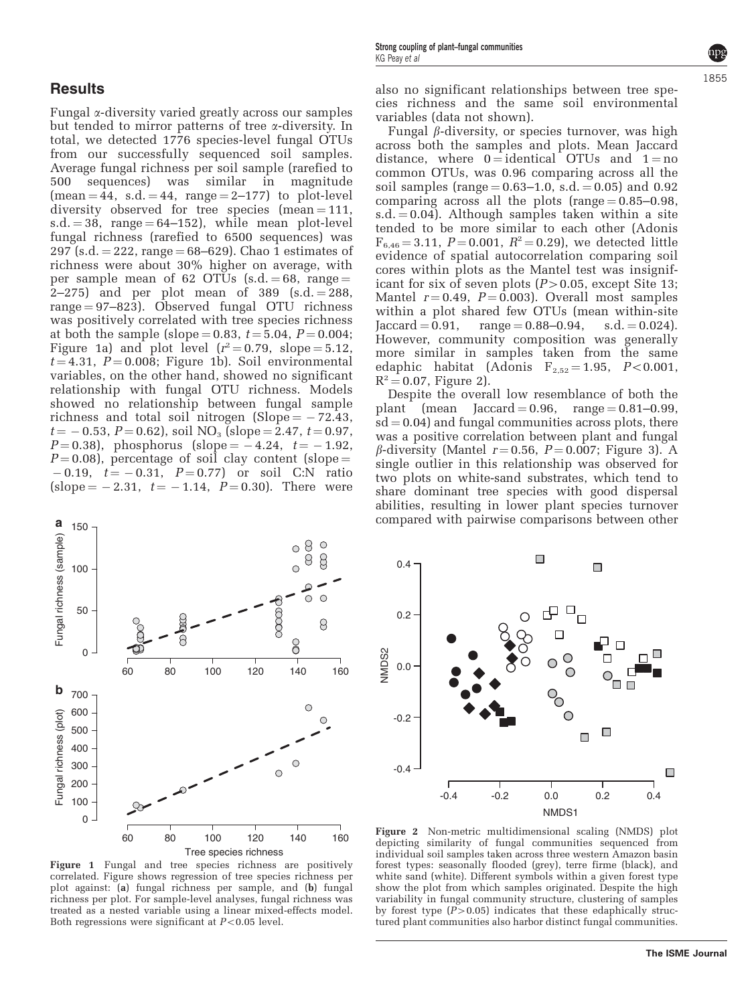## <span id="page-3-0"></span>**Results**

Fungal a-diversity varied greatly across our samples but tended to mirror patterns of tree  $\alpha$ -diversity. In total, we detected 1776 species-level fungal OTUs from our successfully sequenced soil samples. Average fungal richness per soil sample (rarefied to 500 sequences) was similar in magnitude  $(mean = 44, s.d. = 44, range = 2-177)$  to plot-level diversity observed for tree species (mean  $=111$ ,  $s.d. = 38$ , range  $= 64-152$ , while mean plot-level fungal richness (rarefied to 6500 sequences) was  $297$  (s.d.  $= 222$ , range  $= 68 - 629$ ). Chao 1 estimates of richness were about 30% higher on average, with per sample mean of 62 OTUs  $(s.d. = 68, \text{ range} =$  $2-275$  and per plot mean of 389 (s.d. = 288, range  $= 97-823$ . Observed fungal OTU richness was positively correlated with tree species richness at both the sample (slope = 0.83,  $t = 5.04$ ,  $P = 0.004$ ; Figure 1a) and plot level  $(r^2 = 0.79, \text{ slope} = 5.12,$  $t = 4.31, P = 0.008$ ; Figure 1b). Soil environmental variables, on the other hand, showed no significant relationship with fungal OTU richness. Models showed no relationship between fungal sample richness and total soil nitrogen (Slope  $= -72.43$ ,  $t = -0.53$ ,  $P = 0.62$ , soil NO<sub>3</sub> (slope = 2.47,  $t = 0.97$ ,  $P = 0.38$ ), phosphorus (slope =  $-4.24$ ,  $t = -1.92$ ,  $P = 0.08$ ), percentage of soil clay content (slope =  $-0.19$ ,  $t = -0.31$ ,  $P = 0.77$  or soil C:N ratio (slope  $= -2.31$ ,  $t = -1.14$ ,  $P = 0.30$ ). There were



Figure 1 Fungal and tree species richness are positively correlated. Figure shows regression of tree species richness per plot against: (a) fungal richness per sample, and (b) fungal richness per plot. For sample-level analyses, fungal richness was treated as a nested variable using a linear mixed-effects model. Both regressions were significant at  $P < 0.05$  level.

Fungal  $\beta$ -diversity, or species turnover, was high across both the samples and plots. Mean Jaccard distance, where  $0 =$ identical OTUs and  $1 =$ no common OTUs, was 0.96 comparing across all the soil samples (range  $= 0.63 - 1.0$ , s.d.  $= 0.05$ ) and 0.92 comparing across all the plots (range  $= 0.85 - 0.98$ ,  $s.d. = 0.04$ . Although samples taken within a site tended to be more similar to each other (Adonis  $F_{6,46} = 3.11, P = 0.001, R^2 = 0.29$ , we detected little evidence of spatial autocorrelation comparing soil cores within plots as the Mantel test was insignificant for six of seven plots  $(P>0.05$ , except Site 13; Mantel  $r = 0.49$ ,  $P = 0.003$ ). Overall most samples within a plot shared few OTUs (mean within-site  $Jaccard = 0.91$ ,  $range = 0.88 - 0.94$ ,  $s.d. = 0.024$ . However, community composition was generally more similar in samples taken from the same edaphic habitat (Adonis  $F_{2,52} = 1.95$ ,  $P < 0.001$ ,  $R^2 = 0.07$ , Figure 2).

Despite the overall low resemblance of both the plant (mean Jaccard  $= 0.96$ , range  $= 0.81 - 0.99$ ,  $sd = 0.04$ ) and fungal communities across plots, there was a positive correlation between plant and fungal  $\beta$ -diversity (Mantel  $r = 0.56$ ,  $P = 0.007$ ; [Figure 3](#page-4-0)). A single outlier in this relationship was observed for two plots on white-sand substrates, which tend to share dominant tree species with good dispersal abilities, resulting in lower plant species turnover compared with pairwise comparisons between other



Figure 2 Non-metric multidimensional scaling (NMDS) plot depicting similarity of fungal communities sequenced from individual soil samples taken across three western Amazon basin forest types: seasonally flooded (grey), terre firme (black), and white sand (white). Different symbols within a given forest type show the plot from which samples originated. Despite the high variability in fungal community structure, clustering of samples by forest type  $(P>0.05)$  indicates that these edaphically structured plant communities also harbor distinct fungal communities.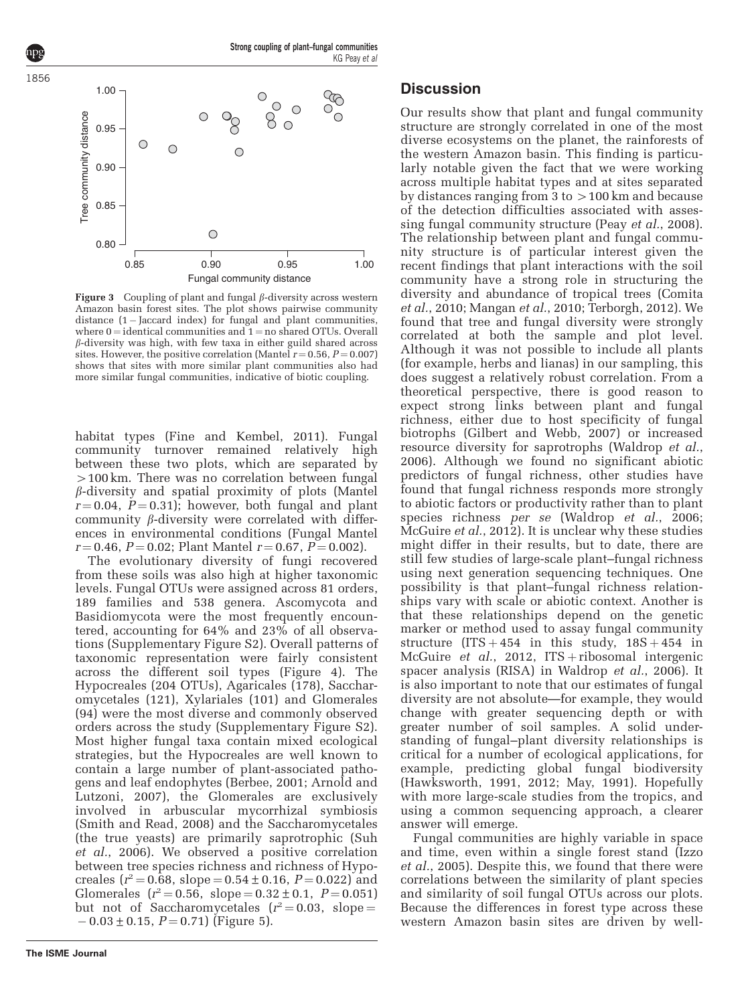<span id="page-4-0"></span>

Figure 3 Coupling of plant and fungal  $\beta$ -diversity across western Amazon basin forest sites. The plot shows pairwise community distance  $(1 -$  Jaccard index) for fungal and plant communities, where  $0 =$  identical communities and  $1 =$  no shared OTUs. Overall  $\beta$ -diversity was high, with few taxa in either guild shared across sites. However, the positive correlation (Mantel  $r = 0.56$ ,  $P = 0.007$ ) shows that sites with more similar plant communities also had more similar fungal communities, indicative of biotic coupling.

habitat types ([Fine and Kembel, 2011](#page-8-0)). Fungal community turnover remained relatively high between these two plots, which are separated by  $>100$  km. There was no correlation between fungal  $\beta$ -diversity and spatial proximity of plots (Mantel  $r = 0.04$ ,  $P = 0.31$ ; however, both fungal and plant community  $\beta$ -diversity were correlated with differences in environmental conditions (Fungal Mantel  $r = 0.46$ ,  $P = 0.02$ ; Plant Mantel  $r = 0.67$ ,  $P = 0.002$ ).

The evolutionary diversity of fungi recovered from these soils was also high at higher taxonomic levels. Fungal OTUs were assigned across 81 orders, 189 families and 538 genera. Ascomycota and Basidiomycota were the most frequently encountered, accounting for 64% and 23% of all observations (Supplementary Figure S2). Overall patterns of taxonomic representation were fairly consistent across the different soil types [\(Figure 4\)](#page-5-0). The Hypocreales (204 OTUs), Agaricales (178), Saccharomycetales (121), Xylariales (101) and Glomerales (94) were the most diverse and commonly observed orders across the study (Supplementary Figure S2). Most higher fungal taxa contain mixed ecological strategies, but the Hypocreales are well known to contain a large number of plant-associated pathogens and leaf endophytes ([Berbee, 2001](#page-8-0); [Arnold and](#page-8-0) [Lutzoni, 2007\)](#page-8-0), the Glomerales are exclusively involved in arbuscular mycorrhizal symbiosis ([Smith and Read, 2008\)](#page-9-0) and the Saccharomycetales (the true yeasts) are primarily saprotrophic [\(Suh](#page-9-0) et al.[, 2006\)](#page-9-0). We observed a positive correlation between tree species richness and richness of Hypocreales  $(r^2 = 0.68,$  slope  $= 0.54 \pm 0.16, P = 0.022$ ) and Glomerales  $(r^2 = 0.56, \text{ slope} = 0.32 \pm 0.1, P = 0.051)$ but not of Saccharomycetales  $(r^2 = 0.03,$  slope =  $-0.03 \pm 0.15$ ,  $P = 0.71$ ) ([Figure 5\)](#page-5-0).

## **Discussion**

Our results show that plant and fungal community structure are strongly correlated in one of the most diverse ecosystems on the planet, the rainforests of the western Amazon basin. This finding is particularly notable given the fact that we were working across multiple habitat types and at sites separated by distances ranging from  $3 \text{ to } >100 \text{ km}$  and because of the detection difficulties associated with assessing fungal community structure (Peay et al.[, 2008](#page-9-0)). The relationship between plant and fungal community structure is of particular interest given the recent findings that plant interactions with the soil community have a strong role in structuring the diversity and abundance of tropical trees ([Comita](#page-8-0) et al.[, 2010;](#page-8-0) [Mangan](#page-9-0) et al., 2010; [Terborgh, 2012\)](#page-9-0). We found that tree and fungal diversity were strongly correlated at both the sample and plot level. Although it was not possible to include all plants (for example, herbs and lianas) in our sampling, this does suggest a relatively robust correlation. From a theoretical perspective, there is good reason to expect strong links between plant and fungal richness, either due to host specificity of fungal biotrophs ([Gilbert and Webb, 2007\)](#page-8-0) or increased resource diversity for saprotrophs [\(Waldrop](#page-9-0) *et al.*, [2006\)](#page-9-0). Although we found no significant abiotic predictors of fungal richness, other studies have found that fungal richness responds more strongly to abiotic factors or productivity rather than to plant species richness per se [\(Waldrop](#page-9-0) et al., 2006; [McGuire](#page-9-0) *et al.*, 2012). It is unclear why these studies might differ in their results, but to date, there are still few studies of large-scale plant–fungal richness using next generation sequencing techniques. One possibility is that plant–fungal richness relationships vary with scale or abiotic context. Another is that these relationships depend on the genetic marker or method used to assay fungal community structure  $(ITS + 454$  in this study,  $18S + 454$  in [McGuire](#page-9-0) et al., 2012, ITS + ribosomal intergenic spacer analysis (RISA) in [Waldrop](#page-9-0) et al., 2006). It is also important to note that our estimates of fungal diversity are not absolute—for example, they would change with greater sequencing depth or with greater number of soil samples. A solid understanding of fungal–plant diversity relationships is critical for a number of ecological applications, for example, predicting global fungal biodiversity ([Hawksworth, 1991, 2012](#page-8-0); [May, 1991\)](#page-9-0). Hopefully with more large-scale studies from the tropics, and using a common sequencing approach, a clearer answer will emerge.

Fungal communities are highly variable in space and time, even within a single forest stand ([Izzo](#page-9-0) et al.[, 2005\)](#page-9-0). Despite this, we found that there were correlations between the similarity of plant species and similarity of soil fungal OTUs across our plots. Because the differences in forest type across these western Amazon basin sites are driven by well-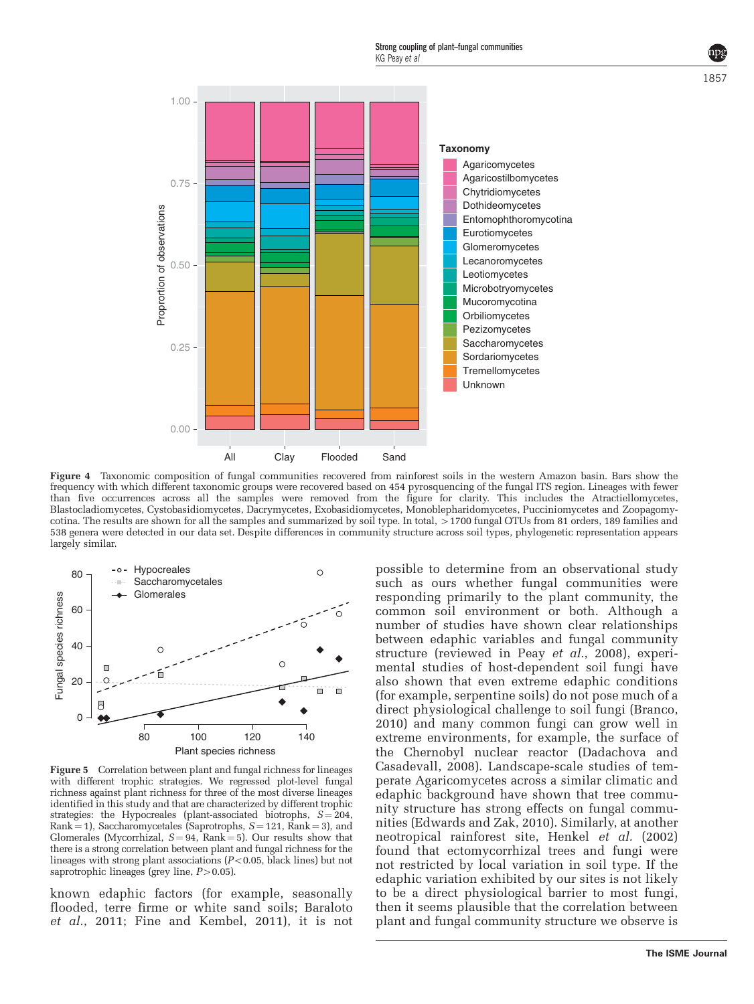<span id="page-5-0"></span>

Figure 4 Taxonomic composition of fungal communities recovered from rainforest soils in the western Amazon basin. Bars show the frequency with which different taxonomic groups were recovered based on 454 pyrosquencing of the fungal ITS region. Lineages with fewer than five occurrences across all the samples were removed from the figure for clarity. This includes the Atractiellomycetes, Blastocladiomycetes, Cystobasidiomycetes, Dacrymycetes, Exobasidiomycetes, Monoblepharidomycetes, Pucciniomycetes and Zoopagomycotina. The results are shown for all the samples and summarized by soil type. In total, >1700 fungal OTUs from 81 orders, 189 families and 538 genera were detected in our data set. Despite differences in community structure across soil types, phylogenetic representation appears largely similar.



Figure 5 Correlation between plant and fungal richness for lineages with different trophic strategies. We regressed plot-level fungal richness against plant richness for three of the most diverse lineages identified in this study and that are characterized by different trophic strategies: the Hypocreales (plant-associated biotrophs,  $S = 204$ , Rank = 1), Saccharomycetales (Saprotrophs,  $S = 121$ , Rank = 3), and Glomerales (Mycorrhizal,  $S = 94$ , Rank = 5). Our results show that there is a strong correlation between plant and fungal richness for the lineages with strong plant associations  $(P<0.05$ , black lines) but not saprotrophic lineages (grey line,  $P > 0.05$ ).

known edaphic factors (for example, seasonally flooded, terre firme or white sand soils; [Baraloto](#page-8-0) et al.[, 2011](#page-8-0); [Fine and Kembel, 2011\)](#page-8-0), it is not

possible to determine from an observational study such as ours whether fungal communities were responding primarily to the plant community, the common soil environment or both. Although a number of studies have shown clear relationships between edaphic variables and fungal community structure (reviewed in Peay et al.[, 2008\)](#page-9-0), experimental studies of host-dependent soil fungi have also shown that even extreme edaphic conditions (for example, serpentine soils) do not pose much of a direct physiological challenge to soil fungi ([Branco,](#page-8-0) [2010\)](#page-8-0) and many common fungi can grow well in extreme environments, for example, the surface of the Chernobyl nuclear reactor [\(Dadachova and](#page-8-0) [Casadevall, 2008](#page-8-0)). Landscape-scale studies of temperate Agaricomycetes across a similar climatic and edaphic background have shown that tree community structure has strong effects on fungal communities [\(Edwards and Zak, 2010](#page-8-0)). Similarly, at another neotropical rainforest site, [Henkel](#page-9-0) et al. (2002) found that ectomycorrhizal trees and fungi were not restricted by local variation in soil type. If the edaphic variation exhibited by our sites is not likely to be a direct physiological barrier to most fungi, then it seems plausible that the correlation between plant and fungal community structure we observe is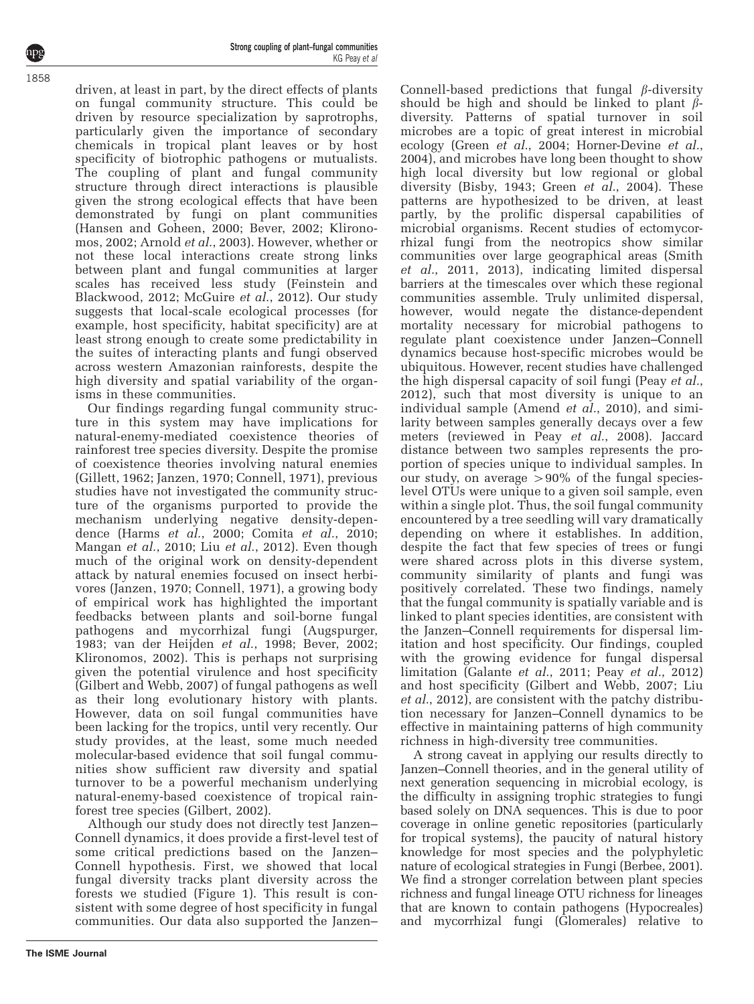driven, at least in part, by the direct effects of plants on fungal community structure. This could be driven by resource specialization by saprotrophs, particularly given the importance of secondary chemicals in tropical plant leaves or by host specificity of biotrophic pathogens or mutualists. The coupling of plant and fungal community structure through direct interactions is plausible given the strong ecological effects that have been demonstrated by fungi on plant communities ([Hansen and Goheen, 2000](#page-8-0); [Bever, 2002;](#page-8-0) [Klirono](#page-9-0)[mos, 2002](#page-9-0); [Arnold](#page-8-0) et al., 2003). However, whether or not these local interactions create strong links between plant and fungal communities at larger scales has received less study ([Feinstein and](#page-8-0) [Blackwood, 2012](#page-8-0); [McGuire](#page-9-0) et al., 2012). Our study suggests that local-scale ecological processes (for example, host specificity, habitat specificity) are at least strong enough to create some predictability in the suites of interacting plants and fungi observed across western Amazonian rainforests, despite the high diversity and spatial variability of the organisms in these communities.

Our findings regarding fungal community structure in this system may have implications for natural-enemy-mediated coexistence theories of rainforest tree species diversity. Despite the promise of coexistence theories involving natural enemies ([Gillett, 1962;](#page-8-0) [Janzen, 1970;](#page-9-0) [Connell, 1971](#page-8-0)), previous studies have not investigated the community structure of the organisms purported to provide the mechanism underlying negative density-depen-dence (Harms et al.[, 2000](#page-8-0); [Comita](#page-8-0) et al., 2010; [Mangan](#page-9-0) et al., 2010; Liu et al.[, 2012\)](#page-9-0). Even though much of the original work on density-dependent attack by natural enemies focused on insect herbivores [\(Janzen, 1970;](#page-9-0) [Connell, 1971](#page-8-0)), a growing body of empirical work has highlighted the important feedbacks between plants and soil-borne fungal pathogens and mycorrhizal fungi ([Augspurger,](#page-8-0) [1983;](#page-8-0) [van der Heijden](#page-9-0) et al., 1998; [Bever, 2002;](#page-8-0) [Klironomos, 2002\)](#page-9-0). This is perhaps not surprising given the potential virulence and host specificity ([Gilbert and Webb, 2007](#page-8-0)) of fungal pathogens as well as their long evolutionary history with plants. However, data on soil fungal communities have been lacking for the tropics, until very recently. Our study provides, at the least, some much needed molecular-based evidence that soil fungal communities show sufficient raw diversity and spatial turnover to be a powerful mechanism underlying natural-enemy-based coexistence of tropical rainforest tree species ([Gilbert, 2002](#page-8-0)).

Although our study does not directly test Janzen– Connell dynamics, it does provide a first-level test of some critical predictions based on the Janzen– Connell hypothesis. First, we showed that local fungal diversity tracks plant diversity across the forests we studied [\(Figure 1\)](#page-3-0). This result is consistent with some degree of host specificity in fungal communities. Our data also supported the Janzen–

Connell-based predictions that fungal  $\beta$ -diversity should be high and should be linked to plant  $\beta$ diversity. Patterns of spatial turnover in soil microbes are a topic of great interest in microbial ecology (Green et al.[, 2004](#page-8-0); [Horner-Devine](#page-9-0) et al., [2004](#page-9-0)), and microbes have long been thought to show high local diversity but low regional or global diversity [\(Bisby, 1943](#page-8-0); Green et  $\check{al}$ .[, 2004\)](#page-8-0). These patterns are hypothesized to be driven, at least partly, by the prolific dispersal capabilities of microbial organisms. Recent studies of ectomycorrhizal fungi from the neotropics show similar communities over large geographical areas [\(Smith](#page-9-0) et al.[, 2011, 2013](#page-9-0)), indicating limited dispersal barriers at the timescales over which these regional communities assemble. Truly unlimited dispersal, however, would negate the distance-dependent mortality necessary for microbial pathogens to regulate plant coexistence under Janzen–Connell dynamics because host-specific microbes would be ubiquitous. However, recent studies have challenged the high dispersal capacity of soil fungi (Peay *[et al.](#page-9-0)*, [2012](#page-9-0)), such that most diversity is unique to an individual sample [\(Amend](#page-8-0) et al., 2010), and similarity between samples generally decays over a few meters (reviewed in Peay *et al.*[, 2008](#page-9-0)). Jaccard distance between two samples represents the proportion of species unique to individual samples. In our study, on average  $>90\%$  of the fungal specieslevel OTUs were unique to a given soil sample, even within a single plot. Thus, the soil fungal community encountered by a tree seedling will vary dramatically depending on where it establishes. In addition, despite the fact that few species of trees or fungi were shared across plots in this diverse system, community similarity of plants and fungi was positively correlated. These two findings, namely that the fungal community is spatially variable and is linked to plant species identities, are consistent with the Janzen–Connell requirements for dispersal limitation and host specificity. Our findings, coupled with the growing evidence for fungal dispersal limitation ([Galante](#page-8-0) et al., 2011; Peay et al.[, 2012](#page-9-0)) and host specificity ([Gilbert and Webb, 2007](#page-8-0); [Liu](#page-9-0) et al.[, 2012\)](#page-9-0), are consistent with the patchy distribution necessary for Janzen–Connell dynamics to be effective in maintaining patterns of high community richness in high-diversity tree communities.

A strong caveat in applying our results directly to Janzen–Connell theories, and in the general utility of next generation sequencing in microbial ecology, is the difficulty in assigning trophic strategies to fungi based solely on DNA sequences. This is due to poor coverage in online genetic repositories (particularly for tropical systems), the paucity of natural history knowledge for most species and the polyphyletic nature of ecological strategies in Fungi [\(Berbee, 2001\)](#page-8-0). We find a stronger correlation between plant species richness and fungal lineage OTU richness for lineages that are known to contain pathogens (Hypocreales) and mycorrhizal fungi (Glomerales) relative to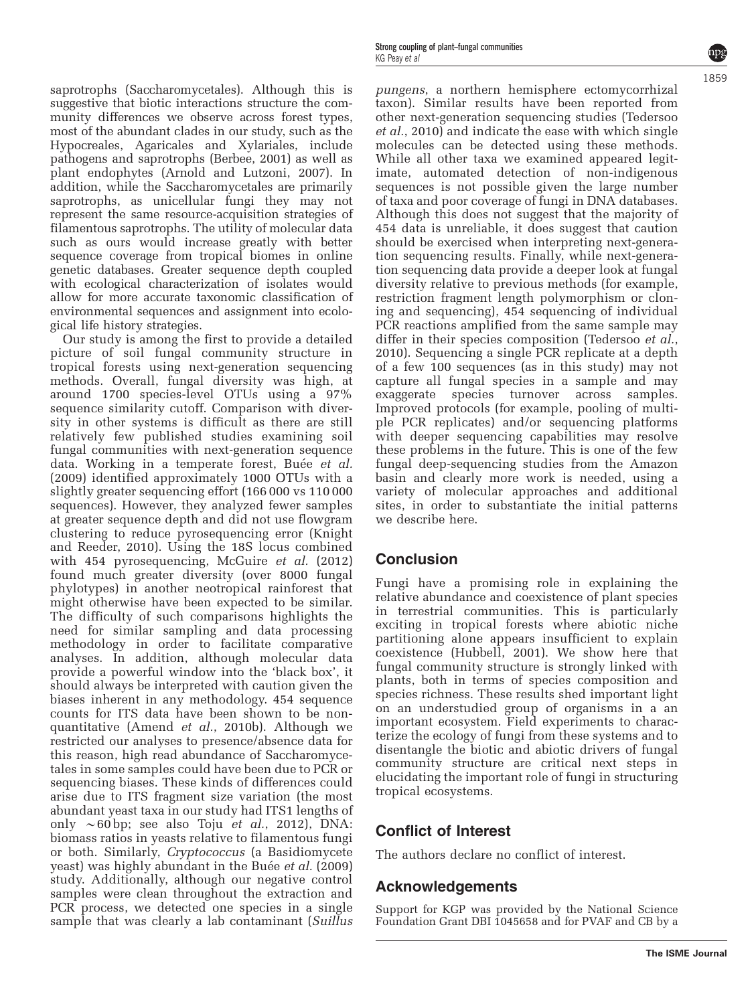saprotrophs (Saccharomycetales). Although this is suggestive that biotic interactions structure the community differences we observe across forest types, most of the abundant clades in our study, such as the Hypocreales, Agaricales and Xylariales, include pathogens and saprotrophs ([Berbee, 2001\)](#page-8-0) as well as plant endophytes ([Arnold and Lutzoni, 2007](#page-8-0)). In addition, while the Saccharomycetales are primarily saprotrophs, as unicellular fungi they may not represent the same resource-acquisition strategies of filamentous saprotrophs. The utility of molecular data such as ours would increase greatly with better

sequence coverage from tropical biomes in online genetic databases. Greater sequence depth coupled with ecological characterization of isolates would allow for more accurate taxonomic classification of environmental sequences and assignment into ecological life history strategies.

Our study is among the first to provide a detailed picture of soil fungal community structure in tropical forests using next-generation sequencing methods. Overall, fungal diversity was high, at around 1700 species-level OTUs using a 97% sequence similarity cutoff. Comparison with diversity in other systems is difficult as there are still relatively few published studies examining soil fungal communities with next-generation sequence data. Working in a temperate forest, Buée *[et al.](#page-8-0)* [\(2009\)](#page-8-0) identified approximately 1000 OTUs with a slightly greater sequencing effort (166 000 vs 110 000 sequences). However, they analyzed fewer samples at greater sequence depth and did not use flowgram clustering to reduce pyrosequencing error ([Knight](#page-9-0) [and Reeder, 2010\)](#page-9-0). Using the 18S locus combined with 454 pyrosequencing, [McGuire](#page-9-0) et al. (2012) found much greater diversity (over 8000 fungal phylotypes) in another neotropical rainforest that might otherwise have been expected to be similar. The difficulty of such comparisons highlights the need for similar sampling and data processing methodology in order to facilitate comparative analyses. In addition, although molecular data provide a powerful window into the 'black box', it should always be interpreted with caution given the biases inherent in any methodology. 454 sequence counts for ITS data have been shown to be nonquantitative (Amend et al.[, 2010b\)](#page-8-0). Although we restricted our analyses to presence/absence data for this reason, high read abundance of Saccharomycetales in some samples could have been due to PCR or sequencing biases. These kinds of differences could arise due to ITS fragment size variation (the most abundant yeast taxa in our study had ITS1 lengths of only  $\sim 60$  bp; see also Toju *et al.*[, 2012\)](#page-9-0), DNA: biomass ratios in yeasts relative to filamentous fungi or both. Similarly, Cryptococcus (a Basidiomycete yeast) was highly abundant in the Buée et al. [\(2009\)](#page-8-0) study. Additionally, although our negative control samples were clean throughout the extraction and PCR process, we detected one species in a single sample that was clearly a lab contaminant (Suillus

pungens, a northern hemisphere ectomycorrhizal taxon). Similar results have been reported from other next-generation sequencing studies ([Tedersoo](#page-9-0) et al.[, 2010\)](#page-9-0) and indicate the ease with which single molecules can be detected using these methods. While all other taxa we examined appeared legitimate, automated detection of non-indigenous sequences is not possible given the large number of taxa and poor coverage of fungi in DNA databases. Although this does not suggest that the majority of 454 data is unreliable, it does suggest that caution should be exercised when interpreting next-generation sequencing results. Finally, while next-generation sequencing data provide a deeper look at fungal diversity relative to previous methods (for example, restriction fragment length polymorphism or cloning and sequencing), 454 sequencing of individual PCR reactions amplified from the same sample may differ in their species composition ([Tedersoo](#page-9-0) et al., [2010\)](#page-9-0). Sequencing a single PCR replicate at a depth of a few 100 sequences (as in this study) may not capture all fungal species in a sample and may exaggerate species turnover across samples. Improved protocols (for example, pooling of multiple PCR replicates) and/or sequencing platforms with deeper sequencing capabilities may resolve these problems in the future. This is one of the few fungal deep-sequencing studies from the Amazon basin and clearly more work is needed, using a variety of molecular approaches and additional sites, in order to substantiate the initial patterns we describe here.

# Conclusion

Fungi have a promising role in explaining the relative abundance and coexistence of plant species in terrestrial communities. This is particularly exciting in tropical forests where abiotic niche partitioning alone appears insufficient to explain coexistence ([Hubbell, 2001\)](#page-9-0). We show here that fungal community structure is strongly linked with plants, both in terms of species composition and species richness. These results shed important light on an understudied group of organisms in a an important ecosystem. Field experiments to characterize the ecology of fungi from these systems and to disentangle the biotic and abiotic drivers of fungal community structure are critical next steps in elucidating the important role of fungi in structuring tropical ecosystems.

# Conflict of Interest

The authors declare no conflict of interest.

# Acknowledgements

Support for KGP was provided by the National Science Foundation Grant DBI 1045658 and for PVAF and CB by a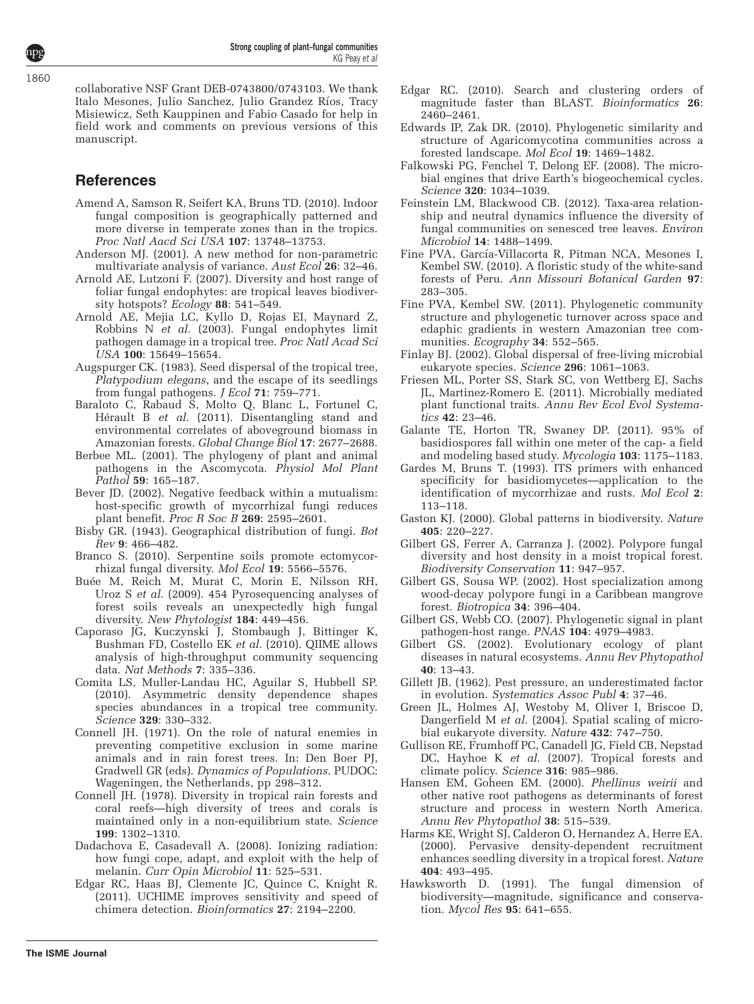<span id="page-8-0"></span>collaborative NSF Grant DEB-0743800/0743103. We thank Italo Mesones, Julio Sanchez, Julio Grandez Ríos, Tracy Misiewicz, Seth Kauppinen and Fabio Casado for help in field work and comments on previous versions of this manuscript.

# **References**

- Amend A, Samson R, Seifert KA, Bruns TD. (2010). Indoor fungal composition is geographically patterned and more diverse in temperate zones than in the tropics. Proc Natl Aacd Sci USA 107: 13748–13753.
- Anderson MJ. (2001). A new method for non-parametric multivariate analysis of variance. Aust Ecol 26: 32-46.
- Arnold AE, Lutzoni F. (2007). Diversity and host range of foliar fungal endophytes: are tropical leaves biodiversity hotspots? Ecology 88: 541–549.
- Arnold AE, Mejia LC, Kyllo D, Rojas EI, Maynard Z, Robbins N et al. (2003). Fungal endophytes limit pathogen damage in a tropical tree. Proc Natl Acad Sci USA 100: 15649–15654.
- Augspurger CK. (1983). Seed dispersal of the tropical tree, Platypodium elegans, and the escape of its seedlings from fungal pathogens. *J Ecol* 71: 759-771.
- Baraloto C, Rabaud S, Molto Q, Blanc L, Fortunel C, Hérault B et al. (2011). Disentangling stand and environmental correlates of aboveground biomass in Amazonian forests. Global Change Biol 17: 2677–2688.
- Berbee ML. (2001). The phylogeny of plant and animal pathogens in the Ascomycota. Physiol Mol Plant Pathol 59: 165–187.
- Bever JD. (2002). Negative feedback within a mutualism: host-specific growth of mycorrhizal fungi reduces plant benefit. Proc R Soc B 269: 2595–2601.
- Bisby GR. (1943). Geographical distribution of fungi. Bot Rev 9: 466–482.
- Branco S. (2010). Serpentine soils promote ectomycorrhizal fungal diversity. Mol Ecol 19: 5566–5576.
- Buée M, Reich M, Murat C, Morin E, Nilsson RH, Uroz S et al. (2009). 454 Pyrosequencing analyses of forest soils reveals an unexpectedly high fungal diversity. New Phytologist 184: 449–456.
- Caporaso JG, Kuczynski J, Stombaugh J, Bittinger K, Bushman FD, Costello EK et al. (2010). QIIME allows analysis of high-throughput community sequencing data. Nat Methods 7: 335–336.
- Comita LS, Muller-Landau HC, Aguilar S, Hubbell SP. (2010). Asymmetric density dependence shapes species abundances in a tropical tree community. Science 329: 330–332.
- Connell JH. (1971). On the role of natural enemies in preventing competitive exclusion in some marine animals and in rain forest trees. In: Den Boer PJ, Gradwell GR (eds). Dynamics of Populations. PUDOC: Wageningen, the Netherlands, pp 298–312.
- Connell JH. (1978). Diversity in tropical rain forests and coral reefs—high diversity of trees and corals is maintained only in a non-equilibrium state. Science 199: 1302–1310.
- Dadachova E, Casadevall A. (2008). Ionizing radiation: how fungi cope, adapt, and exploit with the help of melanin. Curr Opin Microbiol 11: 525–531.
- Edgar RC, Haas BJ, Clemente JC, Quince C, Knight R. (2011). UCHIME improves sensitivity and speed of chimera detection. Bioinformatics 27: 2194–2200.
- Edgar RC. (2010). Search and clustering orders of magnitude faster than BLAST. Bioinformatics 26: 2460–2461.
- Edwards IP, Zak DR. (2010). Phylogenetic similarity and structure of Agaricomycotina communities across a forested landscape. Mol Ecol 19: 1469–1482.
- Falkowski PG, Fenchel T, Delong EF. (2008). The microbial engines that drive Earth's biogeochemical cycles. Science 320: 1034–1039.
- Feinstein LM, Blackwood CB. (2012). Taxa-area relationship and neutral dynamics influence the diversity of fungal communities on senesced tree leaves. Environ Microbiol 14: 1488–1499.
- Fine PVA, García-Villacorta R, Pitman NCA, Mesones I, Kembel SW. (2010). A floristic study of the white-sand forests of Peru. Ann Missouri Botanical Garden 97: 283–305.
- Fine PVA, Kembel SW. (2011). Phylogenetic community structure and phylogenetic turnover across space and edaphic gradients in western Amazonian tree communities. Ecography 34: 552–565.
- Finlay BJ. (2002). Global dispersal of free-living microbial eukaryote species. Science 296: 1061-1063
- Friesen ML, Porter SS, Stark SC, von Wettberg EJ, Sachs JL, Martinez-Romero E. (2011). Microbially mediated plant functional traits. Annu Rev Ecol Evol Systematics 42: 23–46.
- Galante TE, Horton TR, Swaney DP. (2011). 95% of basidiospores fall within one meter of the cap- a field and modeling based study. Mycologia 103: 1175–1183.
- Gardes M, Bruns T. (1993). ITS primers with enhanced specificity for basidiomycetes—application to the identification of mycorrhizae and rusts. Mol Ecol 2: 113–118.
- Gaston KJ. (2000). Global patterns in biodiversity. Nature 405: 220–227.
- Gilbert GS, Ferrer A, Carranza J. (2002). Polypore fungal diversity and host density in a moist tropical forest. Biodiversity Conservation 11: 947–957.
- Gilbert GS, Sousa WP. (2002). Host specialization among wood-decay polypore fungi in a Caribbean mangrove forest. Biotropica 34: 396–404.
- Gilbert GS, Webb CO. (2007). Phylogenetic signal in plant pathogen-host range. PNAS 104: 4979–4983.
- Gilbert GS. (2002). Evolutionary ecology of plant diseases in natural ecosystems. Annu Rev Phytopathol 40: 13–43.
- Gillett JB. (1962). Pest pressure, an underestimated factor in evolution. Systematics Assoc Publ 4: 37–46.
- Green JL, Holmes AJ, Westoby M, Oliver I, Briscoe D, Dangerfield M et al. (2004). Spatial scaling of microbial eukaryote diversity. Nature 432: 747–750.
- Gullison RE, Frumhoff PC, Canadell JG, Field CB, Nepstad DC, Hayhoe K *et al.* (2007). Tropical forests and climate policy. Science 316: 985–986.
- Hansen EM, Goheen EM. (2000). Phellinus weirii and other native root pathogens as determinants of forest structure and process in western North America. Annu Rev Phytopathol 38: 515–539.
- Harms KE, Wright SJ, Calderon O, Hernandez A, Herre EA. (2000). Pervasive density-dependent recruitment enhances seedling diversity in a tropical forest. Nature 404: 493–495.
- Hawksworth D. (1991). The fungal dimension of biodiversity—magnitude, significance and conservation. Mycol Res 95: 641–655.

**The ISME Journal**